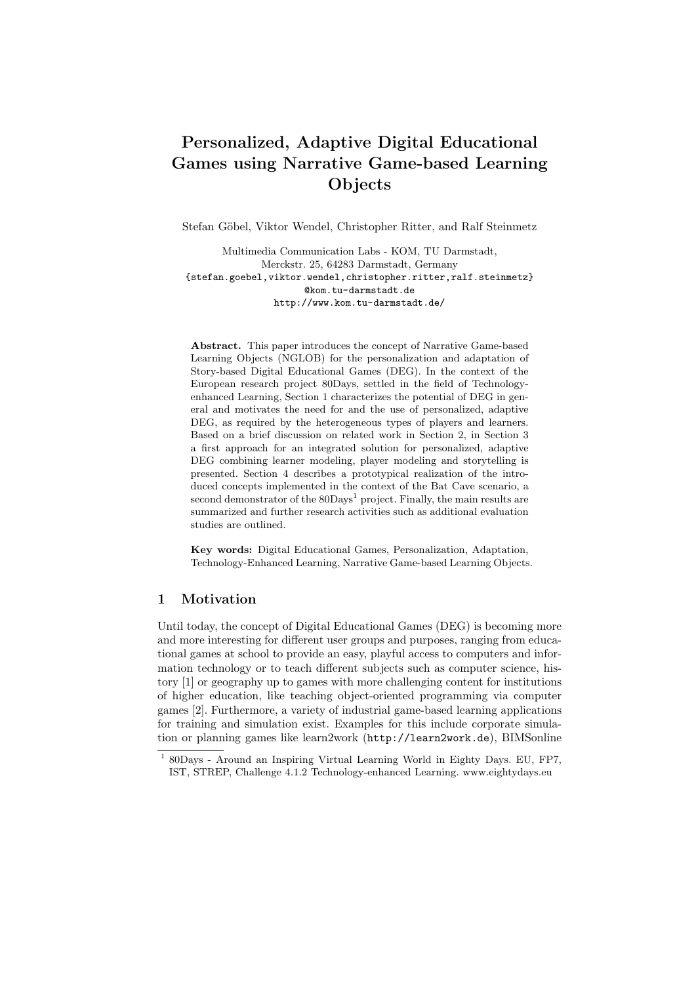# Personalized, Adaptive Digital Educational Games using Narrative Game-based Learning **Objects**

Stefan Göbel, Viktor Wendel, Christopher Ritter, and Ralf Steinmetz

Multimedia Communication Labs - KOM, TU Darmstadt, Merckstr. 25, 64283 Darmstadt, Germany {stefan.goebel,viktor.wendel,christopher.ritter,ralf.steinmetz} @kom.tu-darmstadt.de http://www.kom.tu-darmstadt.de/

Abstract. This paper introduces the concept of Narrative Game-based Learning Objects (NGLOB) for the personalization and adaptation of Story-based Digital Educational Games (DEG). In the context of the European research project 80Days, settled in the field of Technologyenhanced Learning, Section 1 characterizes the potential of DEG in general and motivates the need for and the use of personalized, adaptive DEG, as required by the heterogeneous types of players and learners. Based on a brief discussion on related work in Section 2, in Section 3 a first approach for an integrated solution for personalized, adaptive DEG combining learner modeling, player modeling and storytelling is presented. Section 4 describes a prototypical realization of the introduced concepts implemented in the context of the Bat Cave scenario, a second demonstrator of the  $80$ Days<sup>1</sup> project. Finally, the main results are summarized and further research activities such as additional evaluation studies are outlined.

Key words: Digital Educational Games, Personalization, Adaptation, Technology-Enhanced Learning, Narrative Game-based Learning Objects.

## 1 Motivation

Until today, the concept of Digital Educational Games (DEG) is becoming more and more interesting for different user groups and purposes, ranging from educational games at school to provide an easy, playful access to computers and information technology or to teach different subjects such as computer science, history [1] or geography up to games with more challenging content for institutions of higher education, like teaching object-oriented programming via computer games [2]. Furthermore, a variety of industrial game-based learning applications for training and simulation exist. Examples for this include corporate simulation or planning games like learn2work (http://learn2work.de), BIMSonline

<sup>1</sup> 80Days - Around an Inspiring Virtual Learning World in Eighty Days. EU, FP7, IST, STREP, Challenge 4.1.2 Technology-enhanced Learning. www.eightydays.eu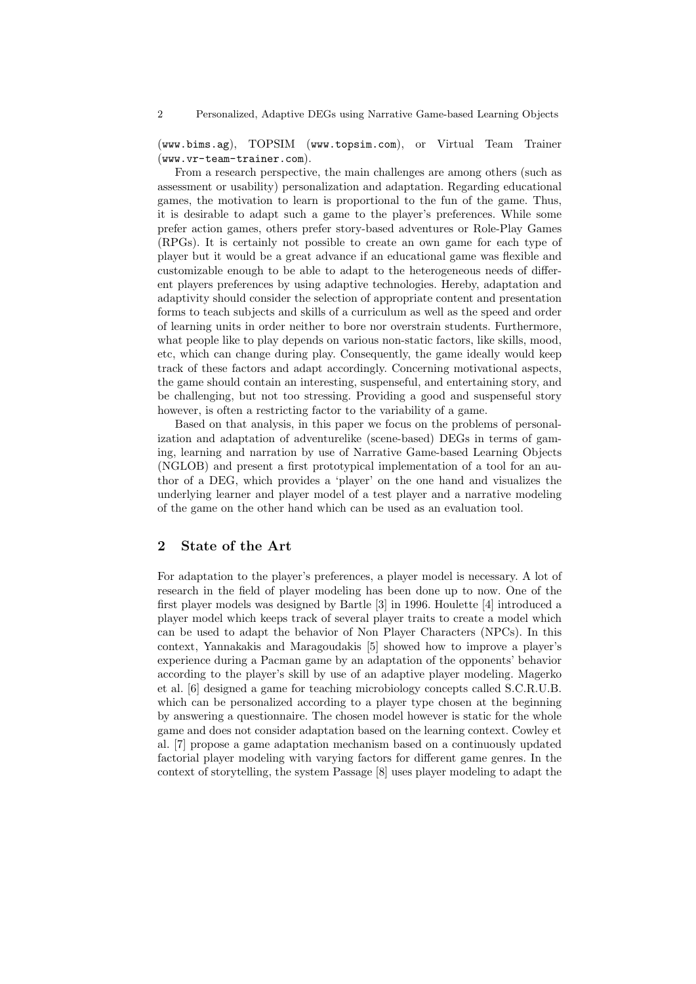(www.bims.ag), TOPSIM (www.topsim.com), or Virtual Team Trainer (www.vr-team-trainer.com).

From a research perspective, the main challenges are among others (such as assessment or usability) personalization and adaptation. Regarding educational games, the motivation to learn is proportional to the fun of the game. Thus, it is desirable to adapt such a game to the player's preferences. While some prefer action games, others prefer story-based adventures or Role-Play Games (RPGs). It is certainly not possible to create an own game for each type of player but it would be a great advance if an educational game was flexible and customizable enough to be able to adapt to the heterogeneous needs of different players preferences by using adaptive technologies. Hereby, adaptation and adaptivity should consider the selection of appropriate content and presentation forms to teach subjects and skills of a curriculum as well as the speed and order of learning units in order neither to bore nor overstrain students. Furthermore, what people like to play depends on various non-static factors, like skills, mood, etc, which can change during play. Consequently, the game ideally would keep track of these factors and adapt accordingly. Concerning motivational aspects, the game should contain an interesting, suspenseful, and entertaining story, and be challenging, but not too stressing. Providing a good and suspenseful story however, is often a restricting factor to the variability of a game.

Based on that analysis, in this paper we focus on the problems of personalization and adaptation of adventurelike (scene-based) DEGs in terms of gaming, learning and narration by use of Narrative Game-based Learning Objects (NGLOB) and present a first prototypical implementation of a tool for an author of a DEG, which provides a 'player' on the one hand and visualizes the underlying learner and player model of a test player and a narrative modeling of the game on the other hand which can be used as an evaluation tool.

## 2 State of the Art

For adaptation to the player's preferences, a player model is necessary. A lot of research in the field of player modeling has been done up to now. One of the first player models was designed by Bartle [3] in 1996. Houlette [4] introduced a player model which keeps track of several player traits to create a model which can be used to adapt the behavior of Non Player Characters (NPCs). In this context, Yannakakis and Maragoudakis [5] showed how to improve a player's experience during a Pacman game by an adaptation of the opponents' behavior according to the player's skill by use of an adaptive player modeling. Magerko et al. [6] designed a game for teaching microbiology concepts called S.C.R.U.B. which can be personalized according to a player type chosen at the beginning by answering a questionnaire. The chosen model however is static for the whole game and does not consider adaptation based on the learning context. Cowley et al. [7] propose a game adaptation mechanism based on a continuously updated factorial player modeling with varying factors for different game genres. In the context of storytelling, the system Passage [8] uses player modeling to adapt the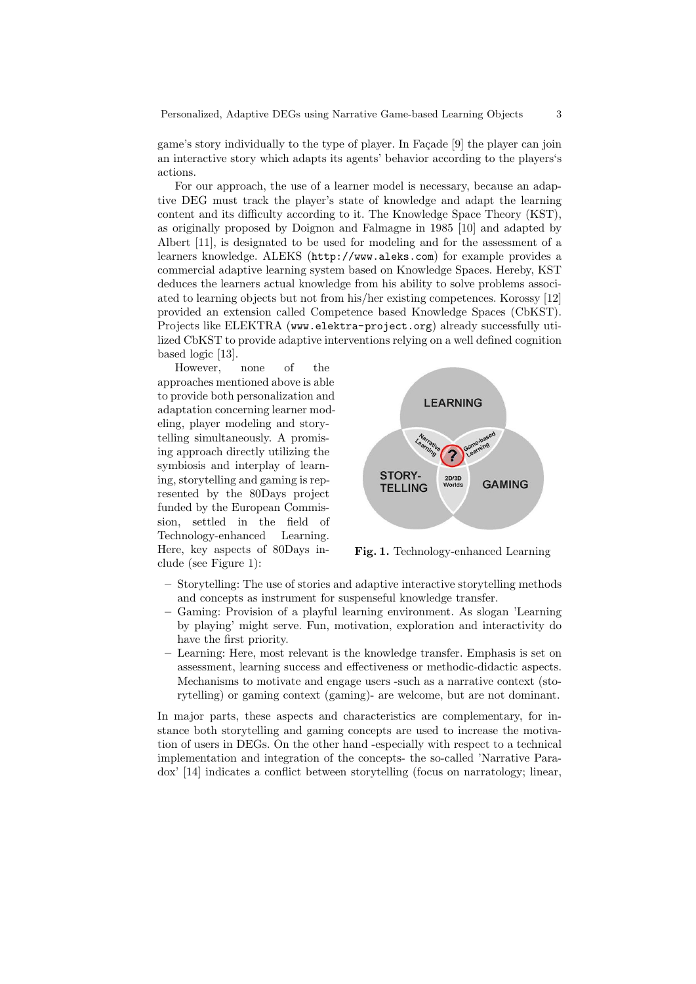game's story individually to the type of player. In Facade [9] the player can join an interactive story which adapts its agents' behavior according to the players's actions.

For our approach, the use of a learner model is necessary, because an adaptive DEG must track the player's state of knowledge and adapt the learning content and its difficulty according to it. The Knowledge Space Theory (KST), as originally proposed by Doignon and Falmagne in 1985 [10] and adapted by Albert [11], is designated to be used for modeling and for the assessment of a learners knowledge. ALEKS (http://www.aleks.com) for example provides a commercial adaptive learning system based on Knowledge Spaces. Hereby, KST deduces the learners actual knowledge from his ability to solve problems associated to learning objects but not from his/her existing competences. Korossy [12] provided an extension called Competence based Knowledge Spaces (CbKST). Projects like ELEKTRA (www.elektra-project.org) already successfully utilized CbKST to provide adaptive interventions relying on a well defined cognition based logic [13].

However, none of the approaches mentioned above is able to provide both personalization and adaptation concerning learner modeling, player modeling and storytelling simultaneously. A promising approach directly utilizing the symbiosis and interplay of learning, storytelling and gaming is represented by the 80Days project funded by the European Commission, settled in the field of Technology-enhanced Learning. Here, key aspects of 80Days include (see Figure 1):



Fig. 1. Technology-enhanced Learning

- Storytelling: The use of stories and adaptive interactive storytelling methods and concepts as instrument for suspenseful knowledge transfer.
- Gaming: Provision of a playful learning environment. As slogan 'Learning by playing' might serve. Fun, motivation, exploration and interactivity do have the first priority.
- Learning: Here, most relevant is the knowledge transfer. Emphasis is set on assessment, learning success and effectiveness or methodic-didactic aspects. Mechanisms to motivate and engage users -such as a narrative context (storytelling) or gaming context (gaming)- are welcome, but are not dominant.

In major parts, these aspects and characteristics are complementary, for instance both storytelling and gaming concepts are used to increase the motivation of users in DEGs. On the other hand -especially with respect to a technical implementation and integration of the concepts- the so-called 'Narrative Paradox' [14] indicates a conflict between storytelling (focus on narratology; linear,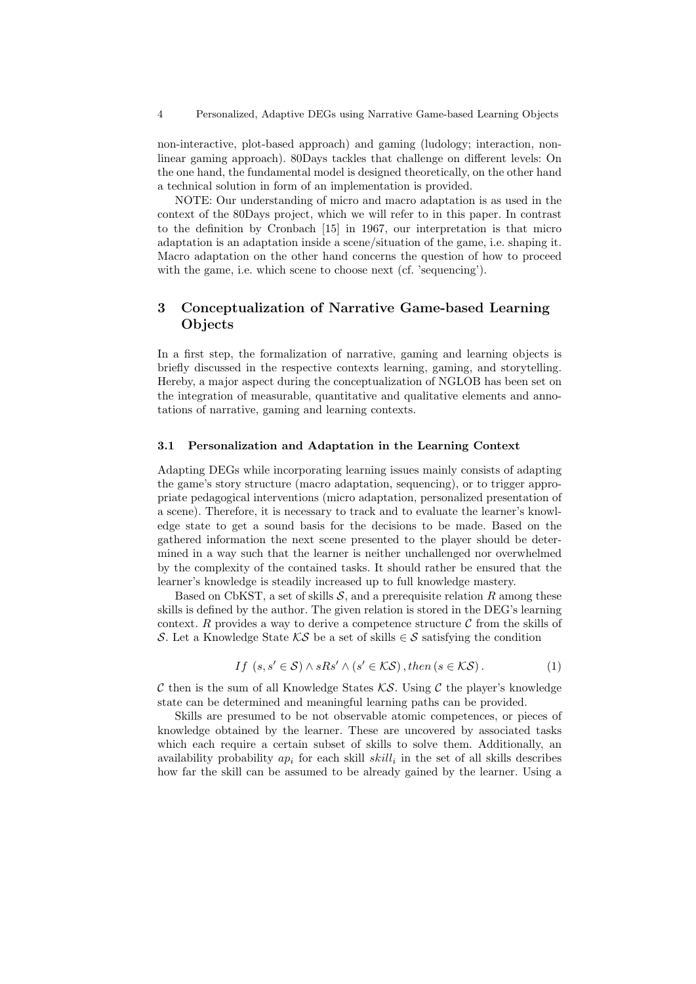4 Personalized, Adaptive DEGs using Narrative Game-based Learning Objects

non-interactive, plot-based approach) and gaming (ludology; interaction, nonlinear gaming approach). 80Days tackles that challenge on different levels: On the one hand, the fundamental model is designed theoretically, on the other hand a technical solution in form of an implementation is provided.

NOTE: Our understanding of micro and macro adaptation is as used in the context of the 80Days project, which we will refer to in this paper. In contrast to the definition by Cronbach [15] in 1967, our interpretation is that micro adaptation is an adaptation inside a scene/situation of the game, i.e. shaping it. Macro adaptation on the other hand concerns the question of how to proceed with the game, i.e. which scene to choose next (cf. 'sequencing').

# 3 Conceptualization of Narrative Game-based Learning **Objects**

In a first step, the formalization of narrative, gaming and learning objects is briefly discussed in the respective contexts learning, gaming, and storytelling. Hereby, a major aspect during the conceptualization of NGLOB has been set on the integration of measurable, quantitative and qualitative elements and annotations of narrative, gaming and learning contexts.

### 3.1 Personalization and Adaptation in the Learning Context

Adapting DEGs while incorporating learning issues mainly consists of adapting the game's story structure (macro adaptation, sequencing), or to trigger appropriate pedagogical interventions (micro adaptation, personalized presentation of a scene). Therefore, it is necessary to track and to evaluate the learner's knowledge state to get a sound basis for the decisions to be made. Based on the gathered information the next scene presented to the player should be determined in a way such that the learner is neither unchallenged nor overwhelmed by the complexity of the contained tasks. It should rather be ensured that the learner's knowledge is steadily increased up to full knowledge mastery.

Based on CbKST, a set of skills  $S$ , and a prerequisite relation R among these skills is defined by the author. The given relation is stored in the DEG's learning context. R provides a way to derive a competence structure  $\mathcal C$  from the skills of S. Let a Knowledge State  $\mathcal{KS}$  be a set of skills  $\in \mathcal{S}$  satisfying the condition

$$
If (s, s' \in \mathcal{S}) \land sRs' \land (s' \in \mathcal{KS}), then (s \in \mathcal{KS}).
$$
\n<sup>(1)</sup>

C then is the sum of all Knowledge States  $\mathcal{KS}$ . Using C the player's knowledge state can be determined and meaningful learning paths can be provided.

Skills are presumed to be not observable atomic competences, or pieces of knowledge obtained by the learner. These are uncovered by associated tasks which each require a certain subset of skills to solve them. Additionally, an availability probability  $ap_i$  for each skill  $skill_i$  in the set of all skills describes how far the skill can be assumed to be already gained by the learner. Using a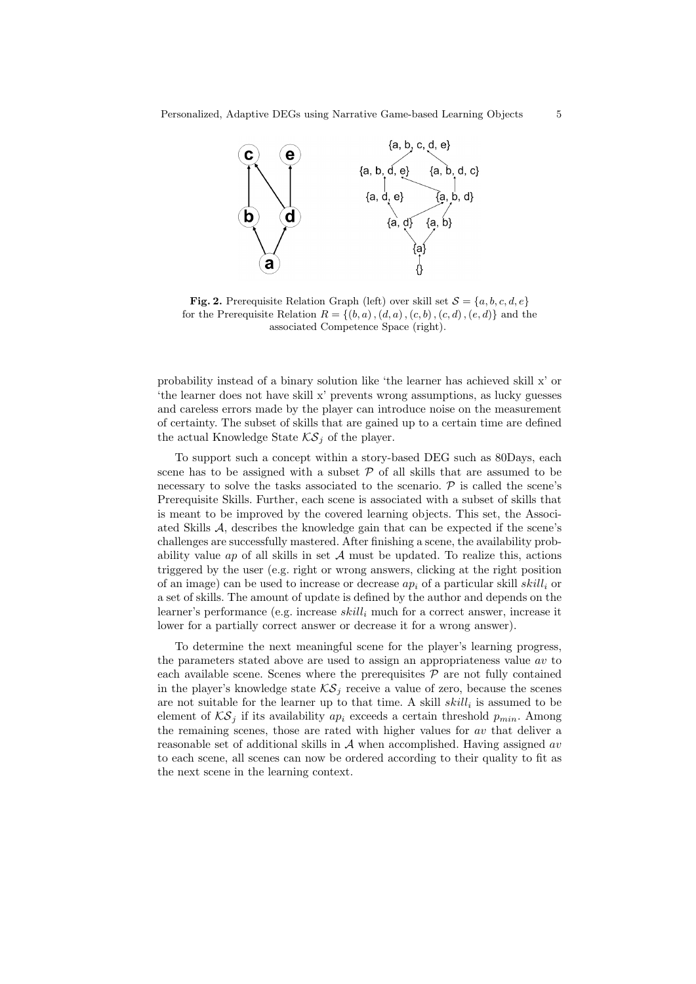

**Fig. 2.** Prerequisite Relation Graph (left) over skill set  $S = \{a, b, c, d, e\}$ for the Prerequisite Relation  $R = \{(b, a), (d, a), (c, b), (c, d), (e, d)\}\)$  and the associated Competence Space (right).

probability instead of a binary solution like 'the learner has achieved skill x' or 'the learner does not have skill x' prevents wrong assumptions, as lucky guesses and careless errors made by the player can introduce noise on the measurement of certainty. The subset of skills that are gained up to a certain time are defined the actual Knowledge State  $\mathcal{KS}_i$  of the player.

To support such a concept within a story-based DEG such as 80Days, each scene has to be assigned with a subset  $P$  of all skills that are assumed to be necessary to solve the tasks associated to the scenario.  $P$  is called the scene's Prerequisite Skills. Further, each scene is associated with a subset of skills that is meant to be improved by the covered learning objects. This set, the Associated Skills A, describes the knowledge gain that can be expected if the scene's challenges are successfully mastered. After finishing a scene, the availability probability value  $ap$  of all skills in set  $A$  must be updated. To realize this, actions triggered by the user (e.g. right or wrong answers, clicking at the right position of an image) can be used to increase or decrease  $ap_i$  of a particular skill skille or a set of skills. The amount of update is defined by the author and depends on the learner's performance (e.g. increase  $skill<sub>i</sub>$  much for a correct answer, increase it lower for a partially correct answer or decrease it for a wrong answer).

To determine the next meaningful scene for the player's learning progress, the parameters stated above are used to assign an appropriateness value av to each available scene. Scenes where the prerequisites  $P$  are not fully contained in the player's knowledge state  $\mathcal{KS}_j$  receive a value of zero, because the scenes are not suitable for the learner up to that time. A skill  $skill<sub>i</sub>$  is assumed to be element of  $\mathcal{KS}_j$  if its availability  $ap_i$  exceeds a certain threshold  $p_{min}$ . Among the remaining scenes, those are rated with higher values for av that deliver a reasonable set of additional skills in  $A$  when accomplished. Having assigned av to each scene, all scenes can now be ordered according to their quality to fit as the next scene in the learning context.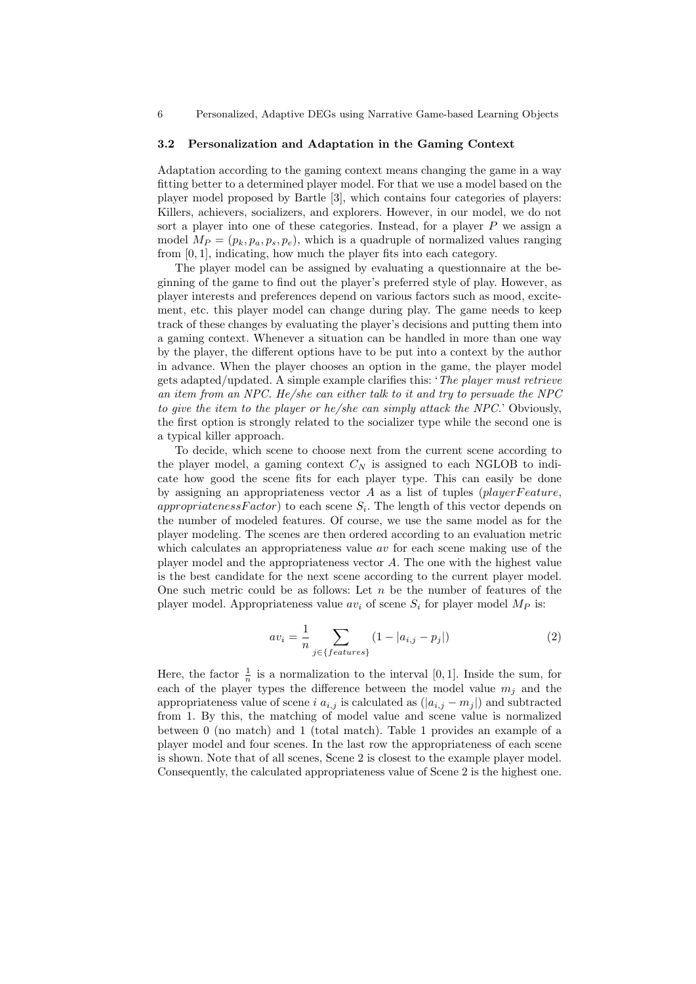6 Personalized, Adaptive DEGs using Narrative Game-based Learning Objects

#### 3.2 Personalization and Adaptation in the Gaming Context

Adaptation according to the gaming context means changing the game in a way fitting better to a determined player model. For that we use a model based on the player model proposed by Bartle [3], which contains four categories of players: Killers, achievers, socializers, and explorers. However, in our model, we do not sort a player into one of these categories. Instead, for a player  $P$  we assign a model  $M_P = (p_k, p_a, p_s, p_e)$ , which is a quadruple of normalized values ranging from [0, 1], indicating, how much the player fits into each category.

The player model can be assigned by evaluating a questionnaire at the beginning of the game to find out the player's preferred style of play. However, as player interests and preferences depend on various factors such as mood, excitement, etc. this player model can change during play. The game needs to keep track of these changes by evaluating the player's decisions and putting them into a gaming context. Whenever a situation can be handled in more than one way by the player, the different options have to be put into a context by the author in advance. When the player chooses an option in the game, the player model gets adapted/updated. A simple example clarifies this: 'The player must retrieve an item from an NPC. He/she can either talk to it and try to persuade the NPC to give the item to the player or he/she can simply attack the NPC.' Obviously, the first option is strongly related to the socializer type while the second one is a typical killer approach.

To decide, which scene to choose next from the current scene according to the player model, a gaming context  $C_N$  is assigned to each NGLOB to indicate how good the scene fits for each player type. This can easily be done by assigning an appropriateness vector  $A$  as a list of tuples (player Feature, appropriateness Factor) to each scene  $S_i$ . The length of this vector depends on the number of modeled features. Of course, we use the same model as for the player modeling. The scenes are then ordered according to an evaluation metric which calculates an appropriateness value  $av$  for each scene making use of the player model and the appropriateness vector A. The one with the highest value is the best candidate for the next scene according to the current player model. One such metric could be as follows: Let  $n$  be the number of features of the player model. Appropriateness value  $av_i$  of scene  $S_i$  for player model  $M_P$  is:

$$
av_i = \frac{1}{n} \sum_{j \in \{features\}} (1 - |a_{i,j} - p_j|)
$$
 (2)

Here, the factor  $\frac{1}{n}$  is a normalization to the interval [0, 1]. Inside the sum, for each of the player types the difference between the model value  $m_j$  and the appropriateness value of scene i  $a_{i,j}$  is calculated as  $(|a_{i,j} - m_j|)$  and subtracted from 1. By this, the matching of model value and scene value is normalized between 0 (no match) and 1 (total match). Table 1 provides an example of a player model and four scenes. In the last row the appropriateness of each scene is shown. Note that of all scenes, Scene 2 is closest to the example player model. Consequently, the calculated appropriateness value of Scene 2 is the highest one.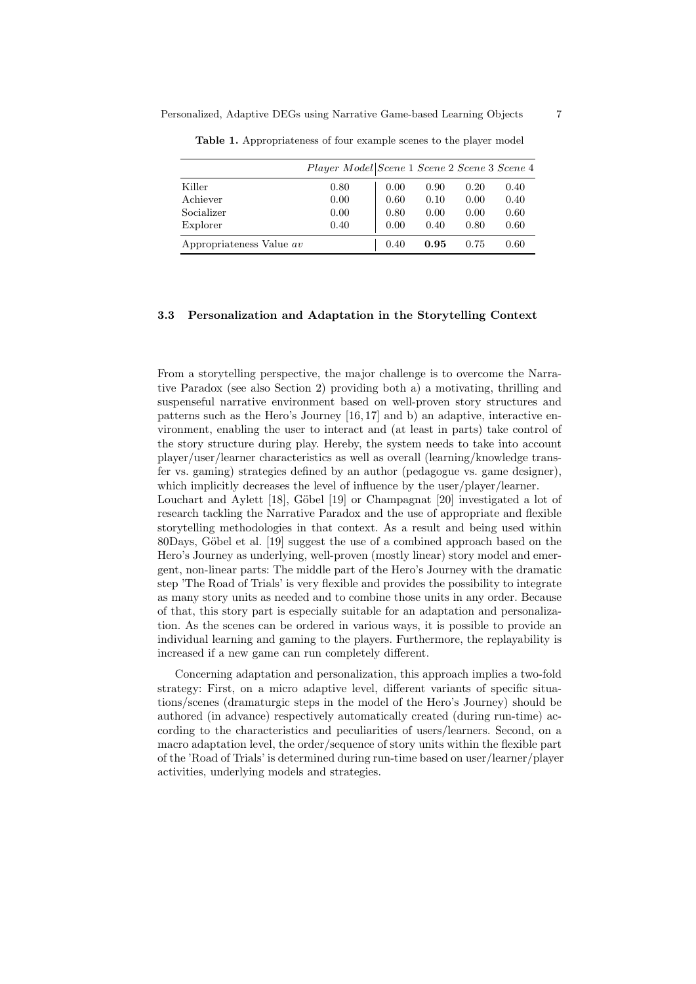|                          | Player Model Scene 1 Scene 2 Scene 3 Scene 4 |      |      |      |      |
|--------------------------|----------------------------------------------|------|------|------|------|
| Killer                   | 0.80                                         | 0.00 | 0.90 | 0.20 | 0.40 |
| Achiever                 | 0.00                                         | 0.60 | 0.10 | 0.00 | 0.40 |
| Socializer               | 0.00                                         | 0.80 | 0.00 | 0.00 | 0.60 |
| Explorer                 | 0.40                                         | 0.00 | 0.40 | 0.80 | 0.60 |
| Appropriateness Value av |                                              | 0.40 | 0.95 | 0.75 | 0.60 |

Table 1. Appropriateness of four example scenes to the player model

#### 3.3 Personalization and Adaptation in the Storytelling Context

From a storytelling perspective, the major challenge is to overcome the Narrative Paradox (see also Section 2) providing both a) a motivating, thrilling and suspenseful narrative environment based on well-proven story structures and patterns such as the Hero's Journey [16, 17] and b) an adaptive, interactive environment, enabling the user to interact and (at least in parts) take control of the story structure during play. Hereby, the system needs to take into account player/user/learner characteristics as well as overall (learning/knowledge transfer vs. gaming) strategies defined by an author (pedagogue vs. game designer), which implicitly decreases the level of influence by the user/player/learner.

Louchart and Aylett [18], Göbel [19] or Champagnat [20] investigated a lot of research tackling the Narrative Paradox and the use of appropriate and flexible storytelling methodologies in that context. As a result and being used within 80Days, Göbel et al. [19] suggest the use of a combined approach based on the Hero's Journey as underlying, well-proven (mostly linear) story model and emergent, non-linear parts: The middle part of the Hero's Journey with the dramatic step 'The Road of Trials' is very flexible and provides the possibility to integrate as many story units as needed and to combine those units in any order. Because of that, this story part is especially suitable for an adaptation and personalization. As the scenes can be ordered in various ways, it is possible to provide an individual learning and gaming to the players. Furthermore, the replayability is increased if a new game can run completely different.

Concerning adaptation and personalization, this approach implies a two-fold strategy: First, on a micro adaptive level, different variants of specific situations/scenes (dramaturgic steps in the model of the Hero's Journey) should be authored (in advance) respectively automatically created (during run-time) according to the characteristics and peculiarities of users/learners. Second, on a macro adaptation level, the order/sequence of story units within the flexible part of the 'Road of Trials' is determined during run-time based on user/learner/player activities, underlying models and strategies.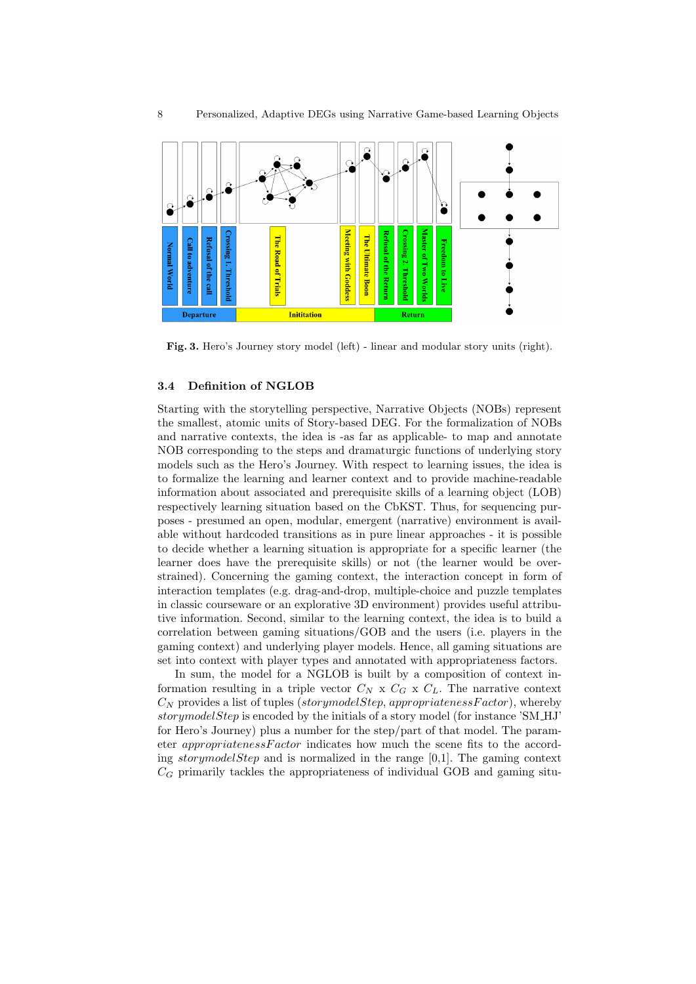

Fig. 3. Hero's Journey story model (left) - linear and modular story units (right).

### 3.4 Definition of NGLOB

Starting with the storytelling perspective, Narrative Objects (NOBs) represent the smallest, atomic units of Story-based DEG. For the formalization of NOBs and narrative contexts, the idea is -as far as applicable- to map and annotate NOB corresponding to the steps and dramaturgic functions of underlying story models such as the Hero's Journey. With respect to learning issues, the idea is to formalize the learning and learner context and to provide machine-readable information about associated and prerequisite skills of a learning object (LOB) respectively learning situation based on the CbKST. Thus, for sequencing purposes - presumed an open, modular, emergent (narrative) environment is available without hardcoded transitions as in pure linear approaches - it is possible to decide whether a learning situation is appropriate for a specific learner (the learner does have the prerequisite skills) or not (the learner would be overstrained). Concerning the gaming context, the interaction concept in form of interaction templates (e.g. drag-and-drop, multiple-choice and puzzle templates in classic courseware or an explorative 3D environment) provides useful attributive information. Second, similar to the learning context, the idea is to build a correlation between gaming situations/GOB and the users (i.e. players in the gaming context) and underlying player models. Hence, all gaming situations are set into context with player types and annotated with appropriateness factors.

In sum, the model for a NGLOB is built by a composition of context information resulting in a triple vector  $C_N \times C_G \times C_L$ . The narrative context  $C_N$  provides a list of tuples (storymodelStep, appropriatenessFactor), whereby storymodelStep is encoded by the initials of a story model (for instance 'SM\_HJ' for Hero's Journey) plus a number for the step/part of that model. The parameter *appropriatenessFactor* indicates how much the scene fits to the according storymodelStep and is normalized in the range [0,1]. The gaming context  $C_G$  primarily tackles the appropriateness of individual GOB and gaming situ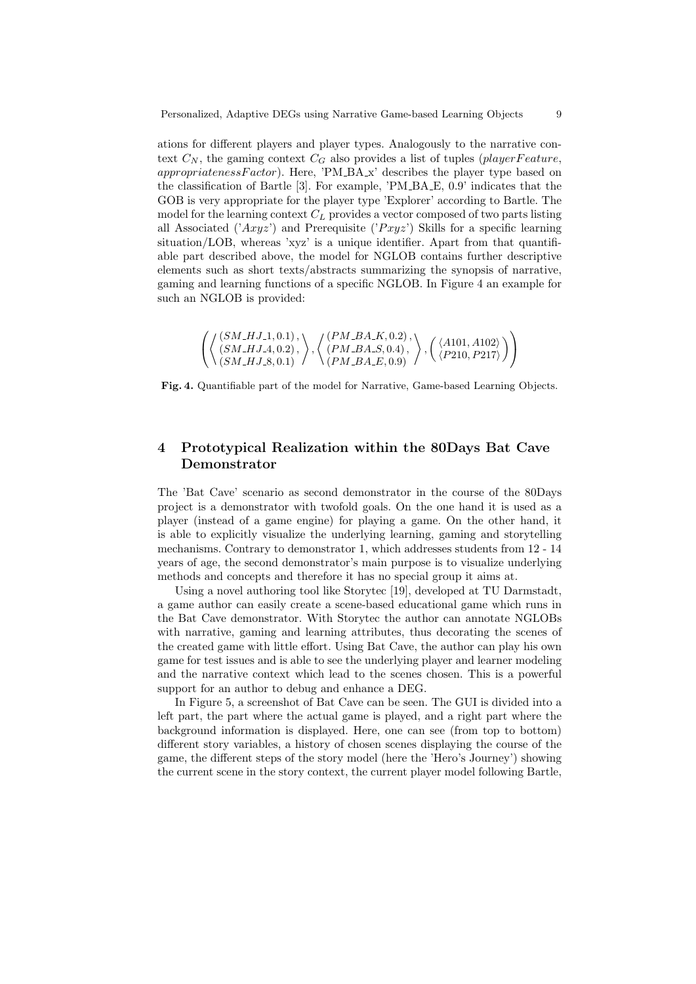ations for different players and player types. Analogously to the narrative context  $C_N$ , the gaming context  $C_G$  also provides a list of tuples (player Feature, appropriatenessFactor). Here, 'PM\_BA\_x' describes the player type based on the classification of Bartle [3]. For example, 'PM BA E, 0.9' indicates that the GOB is very appropriate for the player type 'Explorer' according to Bartle. The model for the learning context  $C<sub>L</sub>$  provides a vector composed of two parts listing all Associated (' $Axyz'$ ) and Prerequisite (' $Pxyz'$ ) Skills for a specific learning situation/LOB, whereas 'xyz' is a unique identifier. Apart from that quantifiable part described above, the model for NGLOB contains further descriptive elements such as short texts/abstracts summarizing the synopsis of narrative, gaming and learning functions of a specific NGLOB. In Figure 4 an example for such an NGLOB is provided:

$$
\left(\left\langle\begin{array}{c} (SM.HJ.1,0.1), \\ (SM.HJ.4,0.2), \\ (SM.HJ.8,0.1) \end{array}\right\rangle, \left\langle\begin{array}{c} (PM.BA.K,0.2), \\ (PM.BA.S,0.4), \\ (PM.BA.E,0.9) \end{array}\right\rangle, \left(\left\langle\begin{array}{c} \langle A101, A102 \rangle \\ \langle P210, P217 \rangle \end{array}\right\rangle\right)
$$

Fig. 4. Quantifiable part of the model for Narrative, Game-based Learning Objects.

# 4 Prototypical Realization within the 80Days Bat Cave Demonstrator

The 'Bat Cave' scenario as second demonstrator in the course of the 80Days project is a demonstrator with twofold goals. On the one hand it is used as a player (instead of a game engine) for playing a game. On the other hand, it is able to explicitly visualize the underlying learning, gaming and storytelling mechanisms. Contrary to demonstrator 1, which addresses students from 12 - 14 years of age, the second demonstrator's main purpose is to visualize underlying methods and concepts and therefore it has no special group it aims at.

Using a novel authoring tool like Storytec [19], developed at TU Darmstadt, a game author can easily create a scene-based educational game which runs in the Bat Cave demonstrator. With Storytec the author can annotate NGLOBs with narrative, gaming and learning attributes, thus decorating the scenes of the created game with little effort. Using Bat Cave, the author can play his own game for test issues and is able to see the underlying player and learner modeling and the narrative context which lead to the scenes chosen. This is a powerful support for an author to debug and enhance a DEG.

In Figure 5, a screenshot of Bat Cave can be seen. The GUI is divided into a left part, the part where the actual game is played, and a right part where the background information is displayed. Here, one can see (from top to bottom) different story variables, a history of chosen scenes displaying the course of the game, the different steps of the story model (here the 'Hero's Journey') showing the current scene in the story context, the current player model following Bartle,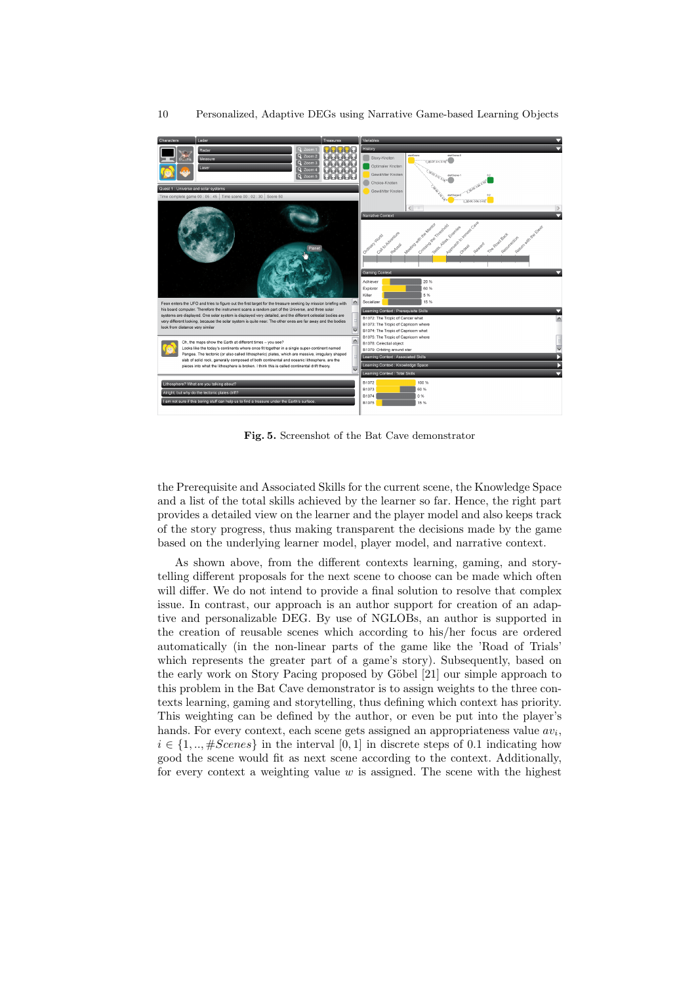

Fig. 5. Screenshot of the Bat Cave demonstrator

the Prerequisite and Associated Skills for the current scene, the Knowledge Space and a list of the total skills achieved by the learner so far. Hence, the right part provides a detailed view on the learner and the player model and also keeps track of the story progress, thus making transparent the decisions made by the game based on the underlying learner model, player model, and narrative context.

As shown above, from the different contexts learning, gaming, and storytelling different proposals for the next scene to choose can be made which often will differ. We do not intend to provide a final solution to resolve that complex issue. In contrast, our approach is an author support for creation of an adaptive and personalizable DEG. By use of NGLOBs, an author is supported in the creation of reusable scenes which according to his/her focus are ordered automatically (in the non-linear parts of the game like the 'Road of Trials' which represents the greater part of a game's story). Subsequently, based on the early work on Story Pacing proposed by Göbel [21] our simple approach to this problem in the Bat Cave demonstrator is to assign weights to the three contexts learning, gaming and storytelling, thus defining which context has priority. This weighting can be defined by the author, or even be put into the player's hands. For every context, each scene gets assigned an appropriateness value  $av_i$ ,  $i \in \{1, \ldots, \#Scenes\}$  in the interval [0, 1] in discrete steps of 0.1 indicating how good the scene would fit as next scene according to the context. Additionally, for every context a weighting value  $w$  is assigned. The scene with the highest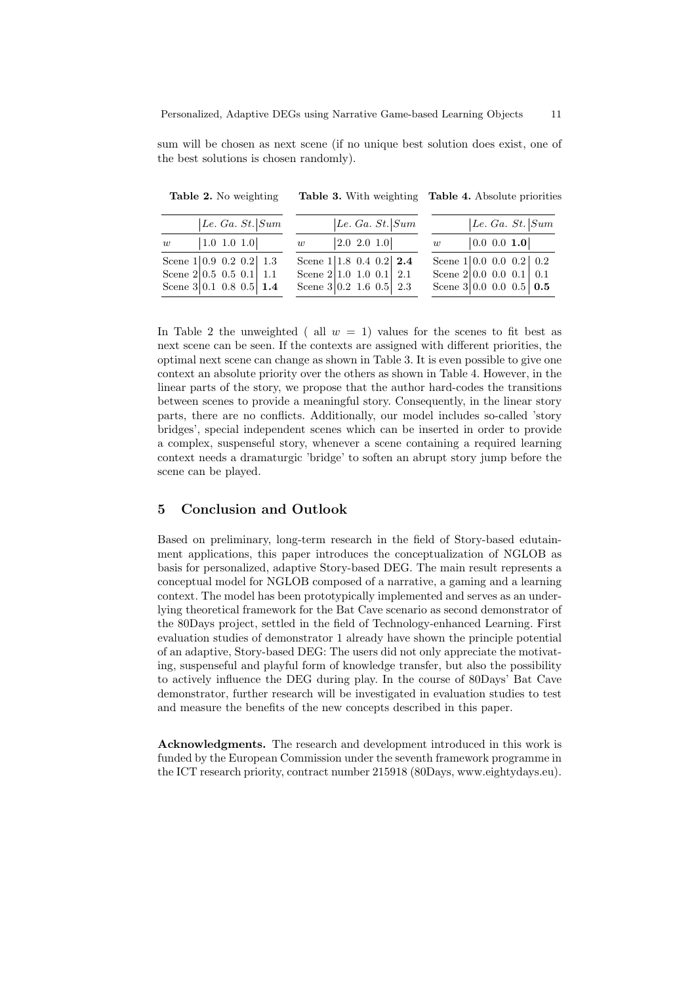sum will be chosen as next scene (if no unique best solution does exist, one of the best solutions is chosen randomly).

| Let. Ga. St.   Sum             | Le. Ga. $St.$ Sum                           | Le. Ga. St.   Sum              |  |
|--------------------------------|---------------------------------------------|--------------------------------|--|
| $ 1.0 \t1.0 \t1.0 $            | $\left  2.0 \right  2.0 \left  1.0 \right $ | $ 0.0 \t0.0 \t1.0 $            |  |
| $\overline{w}$                 | $\overline{u}$                              | $\overline{w}$                 |  |
| Scene $1 0.9 \t0.2 \t0.2  1.3$ | Scene $1 1.8$ 0.4 0.2 $2.4$                 | Scene $1 0.0 \t0.0 \t0.2  0.2$ |  |
| Scene $2 0.5 \t0.5 \t0.1  1.1$ | Scene $2 1.0 \t1.0 \t0.1  \t2.1$            | Scene $2 0.0 0.0 0.1  0.1$     |  |
| Scene $3 0.1 \ 0.8 \ 0.5 $ 1.4 | Scene $3 0.2 1.6 0.5  2.3$                  | Scene 3 0.0 0.0 0.5 0.5        |  |

Table 2. No weighting Table 3. With weighting Table 4. Absolute priorities

In Table 2 the unweighted ( all  $w = 1$ ) values for the scenes to fit best as next scene can be seen. If the contexts are assigned with different priorities, the optimal next scene can change as shown in Table 3. It is even possible to give one context an absolute priority over the others as shown in Table 4. However, in the linear parts of the story, we propose that the author hard-codes the transitions between scenes to provide a meaningful story. Consequently, in the linear story parts, there are no conflicts. Additionally, our model includes so-called 'story bridges', special independent scenes which can be inserted in order to provide a complex, suspenseful story, whenever a scene containing a required learning context needs a dramaturgic 'bridge' to soften an abrupt story jump before the scene can be played.

# 5 Conclusion and Outlook

Based on preliminary, long-term research in the field of Story-based edutainment applications, this paper introduces the conceptualization of NGLOB as basis for personalized, adaptive Story-based DEG. The main result represents a conceptual model for NGLOB composed of a narrative, a gaming and a learning context. The model has been prototypically implemented and serves as an underlying theoretical framework for the Bat Cave scenario as second demonstrator of the 80Days project, settled in the field of Technology-enhanced Learning. First evaluation studies of demonstrator 1 already have shown the principle potential of an adaptive, Story-based DEG: The users did not only appreciate the motivating, suspenseful and playful form of knowledge transfer, but also the possibility to actively influence the DEG during play. In the course of 80Days' Bat Cave demonstrator, further research will be investigated in evaluation studies to test and measure the benefits of the new concepts described in this paper.

Acknowledgments. The research and development introduced in this work is funded by the European Commission under the seventh framework programme in the ICT research priority, contract number 215918 (80Days, www.eightydays.eu).